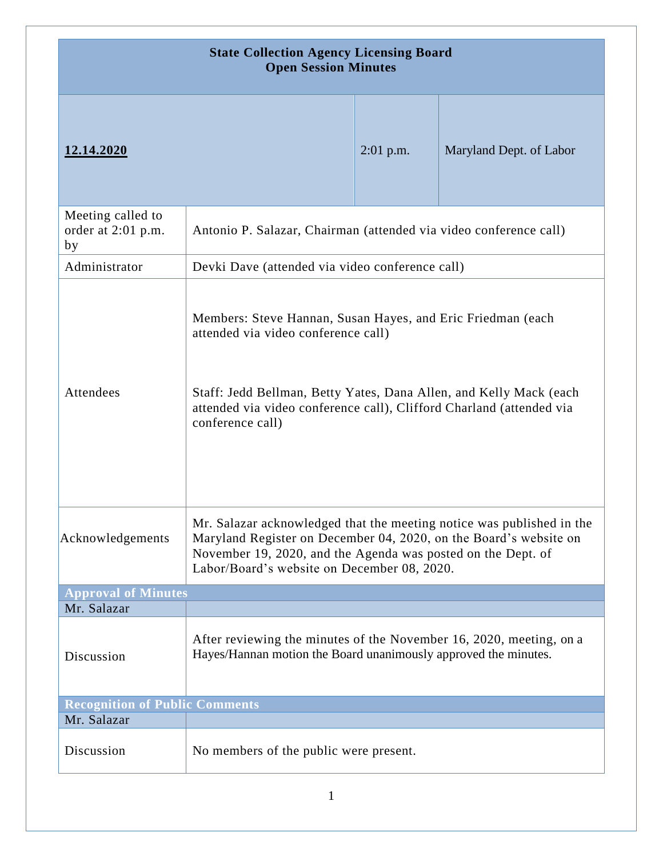| <b>State Collection Agency Licensing Board</b><br><b>Open Session Minutes</b> |                                                                                                                                                                                                                                                                      |             |                         |
|-------------------------------------------------------------------------------|----------------------------------------------------------------------------------------------------------------------------------------------------------------------------------------------------------------------------------------------------------------------|-------------|-------------------------|
| 12.14.2020                                                                    |                                                                                                                                                                                                                                                                      | $2:01$ p.m. | Maryland Dept. of Labor |
| Meeting called to<br>order at 2:01 p.m.<br>by                                 | Antonio P. Salazar, Chairman (attended via video conference call)                                                                                                                                                                                                    |             |                         |
| Administrator                                                                 | Devki Dave (attended via video conference call)                                                                                                                                                                                                                      |             |                         |
| Attendees                                                                     | Members: Steve Hannan, Susan Hayes, and Eric Friedman (each<br>attended via video conference call)<br>Staff: Jedd Bellman, Betty Yates, Dana Allen, and Kelly Mack (each<br>attended via video conference call), Clifford Charland (attended via<br>conference call) |             |                         |
| Acknowledgements                                                              | Mr. Salazar acknowledged that the meeting notice was published in the<br>Maryland Register on December 04, 2020, on the Board's website on<br>November 19, 2020, and the Agenda was posted on the Dept. of<br>Labor/Board's website on December 08, 2020.            |             |                         |
| <b>Approval of Minutes</b>                                                    |                                                                                                                                                                                                                                                                      |             |                         |
| Mr. Salazar                                                                   |                                                                                                                                                                                                                                                                      |             |                         |
| Discussion                                                                    | After reviewing the minutes of the November 16, 2020, meeting, on a<br>Hayes/Hannan motion the Board unanimously approved the minutes.                                                                                                                               |             |                         |
| <b>Recognition of Public Comments</b>                                         |                                                                                                                                                                                                                                                                      |             |                         |
| Mr. Salazar                                                                   |                                                                                                                                                                                                                                                                      |             |                         |
| Discussion                                                                    | No members of the public were present.                                                                                                                                                                                                                               |             |                         |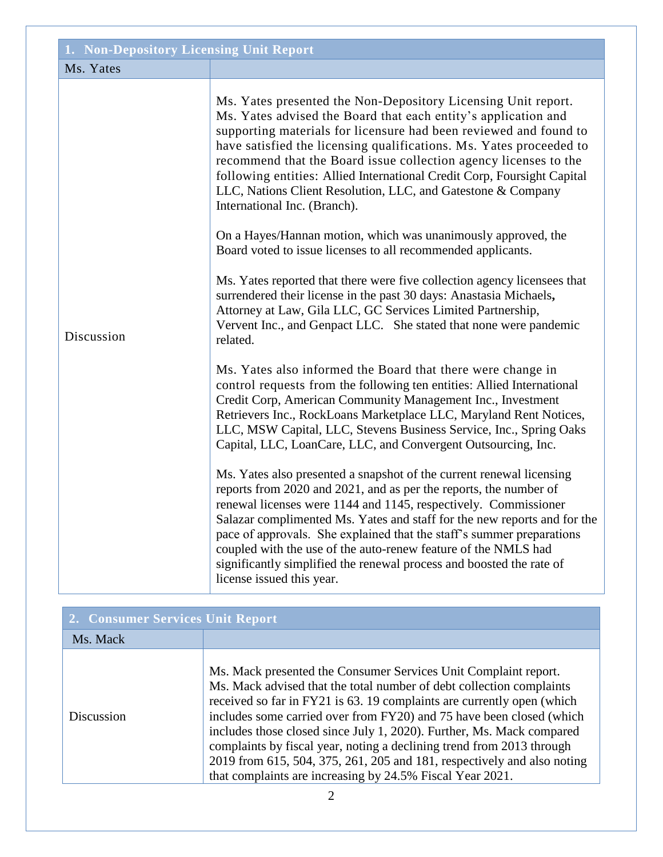| 1. Non-Depository Licensing Unit Report |                                                                                                                                                                                                                                                                                                                                                                                                                                                                                                                                          |  |
|-----------------------------------------|------------------------------------------------------------------------------------------------------------------------------------------------------------------------------------------------------------------------------------------------------------------------------------------------------------------------------------------------------------------------------------------------------------------------------------------------------------------------------------------------------------------------------------------|--|
| Ms. Yates                               |                                                                                                                                                                                                                                                                                                                                                                                                                                                                                                                                          |  |
| Discussion                              | Ms. Yates presented the Non-Depository Licensing Unit report.<br>Ms. Yates advised the Board that each entity's application and<br>supporting materials for licensure had been reviewed and found to<br>have satisfied the licensing qualifications. Ms. Yates proceeded to<br>recommend that the Board issue collection agency licenses to the<br>following entities: Allied International Credit Corp, Foursight Capital<br>LLC, Nations Client Resolution, LLC, and Gatestone & Company<br>International Inc. (Branch).               |  |
|                                         | On a Hayes/Hannan motion, which was unanimously approved, the<br>Board voted to issue licenses to all recommended applicants.                                                                                                                                                                                                                                                                                                                                                                                                            |  |
|                                         | Ms. Yates reported that there were five collection agency licensees that<br>surrendered their license in the past 30 days: Anastasia Michaels,<br>Attorney at Law, Gila LLC, GC Services Limited Partnership,<br>Vervent Inc., and Genpact LLC. She stated that none were pandemic<br>related.                                                                                                                                                                                                                                           |  |
|                                         | Ms. Yates also informed the Board that there were change in<br>control requests from the following ten entities: Allied International<br>Credit Corp, American Community Management Inc., Investment<br>Retrievers Inc., RockLoans Marketplace LLC, Maryland Rent Notices,<br>LLC, MSW Capital, LLC, Stevens Business Service, Inc., Spring Oaks<br>Capital, LLC, LoanCare, LLC, and Convergent Outsourcing, Inc.                                                                                                                        |  |
|                                         | Ms. Yates also presented a snapshot of the current renewal licensing<br>reports from 2020 and 2021, and as per the reports, the number of<br>renewal licenses were 1144 and 1145, respectively. Commissioner<br>Salazar complimented Ms. Yates and staff for the new reports and for the<br>pace of approvals. She explained that the staff's summer preparations<br>coupled with the use of the auto-renew feature of the NMLS had<br>significantly simplified the renewal process and boosted the rate of<br>license issued this year. |  |

| 2. Consumer Services Unit Report |                                                                                                                                                                                                                                                                                                                                                                                                                                                                                                                                                                                     |  |
|----------------------------------|-------------------------------------------------------------------------------------------------------------------------------------------------------------------------------------------------------------------------------------------------------------------------------------------------------------------------------------------------------------------------------------------------------------------------------------------------------------------------------------------------------------------------------------------------------------------------------------|--|
| Ms. Mack                         |                                                                                                                                                                                                                                                                                                                                                                                                                                                                                                                                                                                     |  |
| Discussion                       | Ms. Mack presented the Consumer Services Unit Complaint report.<br>Ms. Mack advised that the total number of debt collection complaints<br>received so far in FY21 is 63. 19 complaints are currently open (which<br>includes some carried over from FY20) and 75 have been closed (which<br>includes those closed since July 1, 2020). Further, Ms. Mack compared<br>complaints by fiscal year, noting a declining trend from 2013 through<br>2019 from 615, 504, 375, 261, 205 and 181, respectively and also noting<br>that complaints are increasing by 24.5% Fiscal Year 2021. |  |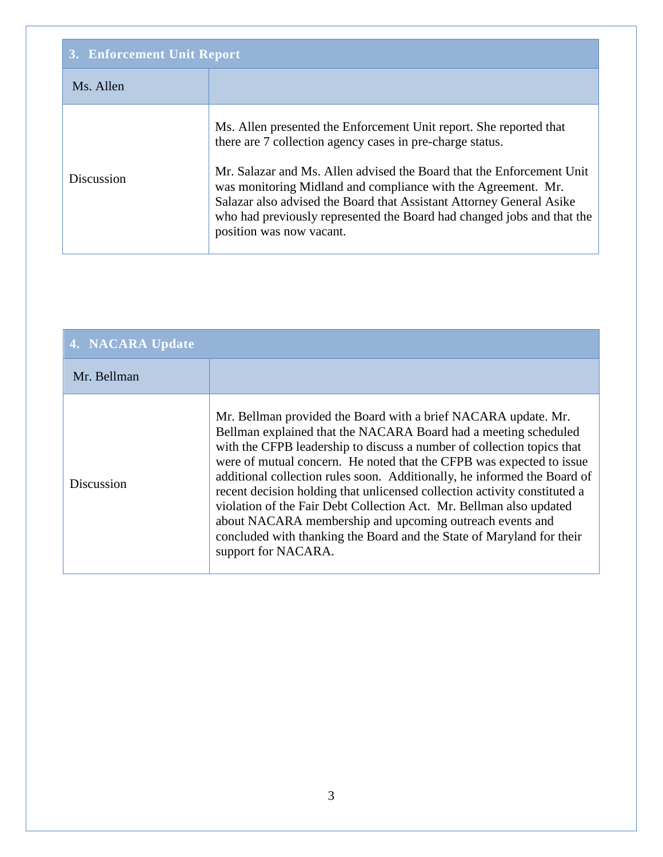| 3. Enforcement Unit Report |                                                                                                                                                                                                                                                                                                                                                                                                                                                         |
|----------------------------|---------------------------------------------------------------------------------------------------------------------------------------------------------------------------------------------------------------------------------------------------------------------------------------------------------------------------------------------------------------------------------------------------------------------------------------------------------|
| Ms. Allen                  |                                                                                                                                                                                                                                                                                                                                                                                                                                                         |
| Discussion                 | Ms. Allen presented the Enforcement Unit report. She reported that<br>there are 7 collection agency cases in pre-charge status.<br>Mr. Salazar and Ms. Allen advised the Board that the Enforcement Unit<br>was monitoring Midland and compliance with the Agreement. Mr.<br>Salazar also advised the Board that Assistant Attorney General Asike<br>who had previously represented the Board had changed jobs and that the<br>position was now vacant. |

| 4. NACARA Update  |                                                                                                                                                                                                                                                                                                                                                                                                                                                                                                                                                                                                                                                                                 |
|-------------------|---------------------------------------------------------------------------------------------------------------------------------------------------------------------------------------------------------------------------------------------------------------------------------------------------------------------------------------------------------------------------------------------------------------------------------------------------------------------------------------------------------------------------------------------------------------------------------------------------------------------------------------------------------------------------------|
| Mr. Bellman       |                                                                                                                                                                                                                                                                                                                                                                                                                                                                                                                                                                                                                                                                                 |
| <b>Discussion</b> | Mr. Bellman provided the Board with a brief NACARA update. Mr.<br>Bellman explained that the NACARA Board had a meeting scheduled<br>with the CFPB leadership to discuss a number of collection topics that<br>were of mutual concern. He noted that the CFPB was expected to issue<br>additional collection rules soon. Additionally, he informed the Board of<br>recent decision holding that unlicensed collection activity constituted a<br>violation of the Fair Debt Collection Act. Mr. Bellman also updated<br>about NACARA membership and upcoming outreach events and<br>concluded with thanking the Board and the State of Maryland for their<br>support for NACARA. |